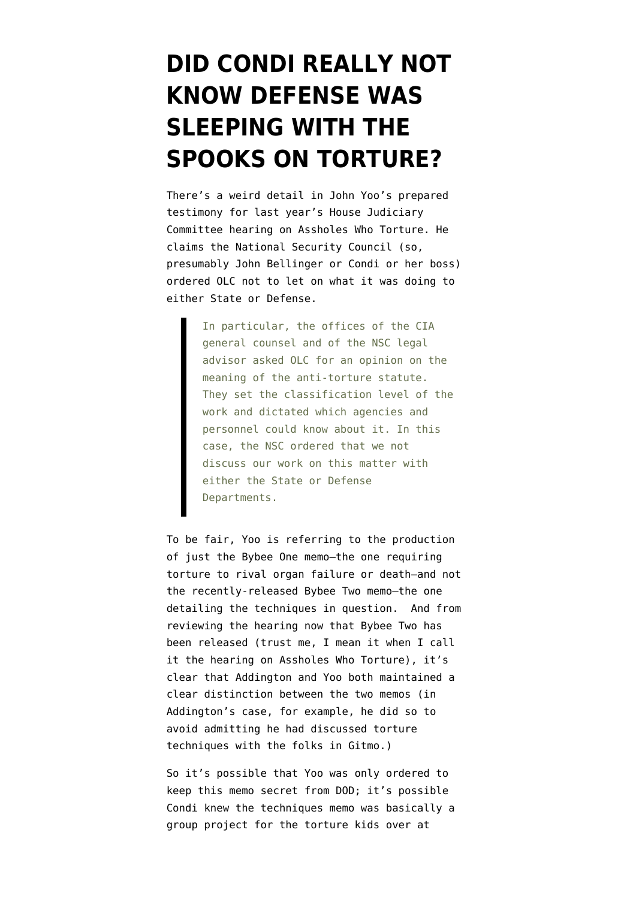## **[DID CONDI REALLY NOT](https://www.emptywheel.net/2009/04/27/did-condi-really-not-know-defense-was-sleeping-with-the-spooks-on-torture/) [KNOW DEFENSE WAS](https://www.emptywheel.net/2009/04/27/did-condi-really-not-know-defense-was-sleeping-with-the-spooks-on-torture/) [SLEEPING WITH THE](https://www.emptywheel.net/2009/04/27/did-condi-really-not-know-defense-was-sleeping-with-the-spooks-on-torture/) [SPOOKS ON TORTURE?](https://www.emptywheel.net/2009/04/27/did-condi-really-not-know-defense-was-sleeping-with-the-spooks-on-torture/)**

There's a weird detail in John Yoo's [prepared](http://judiciary.house.gov/hearings/pdf/Yoo080626.pdf) [testimony](http://judiciary.house.gov/hearings/pdf/Yoo080626.pdf) for last year's House Judiciary Committee hearing on [Assholes Who Torture.](http://judiciary.house.gov/hearings/hear_062608_3.html) He claims the National Security Council (so, presumably John Bellinger or Condi or her boss) ordered OLC not to let on what it was doing to either State or Defense.

> In particular, the offices of the CIA general counsel and of the NSC legal advisor asked OLC for an opinion on the meaning of the anti-torture statute. They set the classification level of the work and dictated which agencies and personnel could know about it. In this case, the NSC ordered that we not discuss our work on this matter with either the State or Defense Departments.

To be fair, Yoo is referring to the production of just the [Bybee One memo–](http://news.findlaw.com/nytimes/docs/doj/bybee80102mem.pdf)the one requiring torture to rival organ failure or death–and not the recently-released [Bybee Two memo](http://stream.luxmedia501.com/?file=clients/aclu/olc_08012002_bybee.pdf&method=dl)–the one detailing the techniques in question. And from reviewing the hearing now that Bybee Two has been released (trust me, I mean it when I call it the hearing on Assholes Who Torture), it's clear that Addington and Yoo both maintained a clear distinction between the two memos (in Addington's case, for example, he did so to avoid admitting he had discussed torture techniques with the folks in Gitmo.)

So it's possible that Yoo was only ordered to keep this memo secret from DOD; it's possible Condi knew the techniques memo was basically a [group project](http://emptywheel.firedoglake.com/2009/04/27/jim-haynes-request-another-list-of-techniques-including-waterboarding/) for the torture kids over at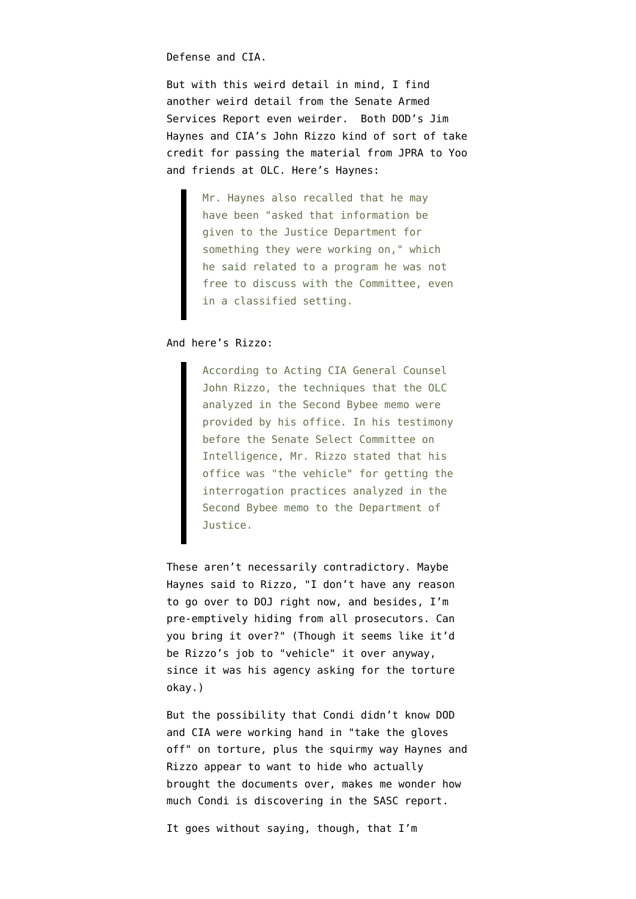Defense and CIA.

But with this weird detail in mind, I find another weird detail from the [Senate Armed](http://armed-services.senate.gov/Publications/Detainee%20Report%20Final_April%2022%202009.pdf) [Services Report](http://armed-services.senate.gov/Publications/Detainee%20Report%20Final_April%2022%202009.pdf) even weirder. Both DOD's Jim Haynes and CIA's John Rizzo kind of sort of take credit for passing the material from JPRA to Yoo and friends at OLC. Here's Haynes:

> Mr. Haynes also recalled that he may have been "asked that information be given to the Justice Department for something they were working on," which he said related to a program he was not free to discuss with the Committee, even in a classified setting.

## And here's Rizzo:

According to Acting CIA General Counsel John Rizzo, the techniques that the OLC analyzed in the Second Bybee memo were provided by his office. In his testimony before the Senate Select Committee on Intelligence, Mr. Rizzo stated that his office was "the vehicle" for getting the interrogation practices analyzed in the Second Bybee memo to the Department of Justice.

These aren't necessarily contradictory. Maybe Haynes said to Rizzo, "I don't have any reason to go over to DOJ right now, and besides, I'm pre-emptively hiding from all prosecutors. Can you bring it over?" (Though it seems like it'd be Rizzo's job to "vehicle" it over anyway, since it was his agency asking for the torture okay.)

But the possibility that Condi didn't know DOD and CIA were working hand in "take the gloves off" on torture, plus the squirmy way Haynes and Rizzo appear to want to hide who actually brought the documents over, makes me wonder how much Condi is discovering in the SASC report.

It goes without saying, though, that I'm